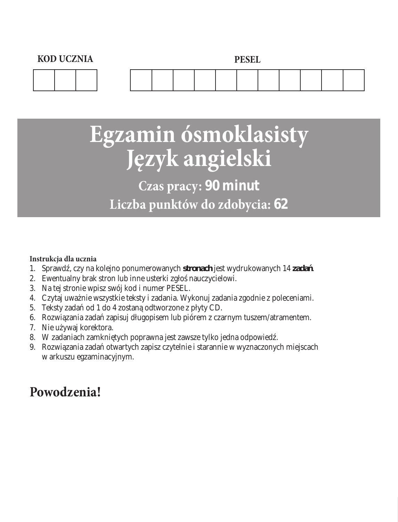

# **Egzamin ósmoklasisty Język angielski**

# **Czas pracy: 90 minut Liczba punktów do zdobycia: 62**

#### **Instrukcja dla ucznia**

- 1. Sprawd, czy na kolejno ponumerowanych **stronach** jest wydrukowanych 14 **zada**.
- 2. Ewentualny brak stron lub inne usterki zgło nauczycielowi.
- 3. Na tej stronie wpisz swój kod i numer PESEL.
- 4. Czytaj uwa nie wszystkie teksty i zadania. Wykonuj zadania zgodnie z poleceniami.
- 5. Teksty zadań od 1 do 4 zostaną odtworzone z płyty CD.
- 6. Rozwi zania zada zapisuj długopisem lub piórem z czarnym tuszem/atramentem.
- 7. Nie u ywaj korektora.
- 8. W zadaniach zamkni tych poprawna jest zawsze tylko jedna odpowied.
- 9. Rozwi zania zada otwartych zapisz czytelnie i starannie w wyznaczonych miejscach w arkuszu egzaminacyjnym.

# **Powodzenia!**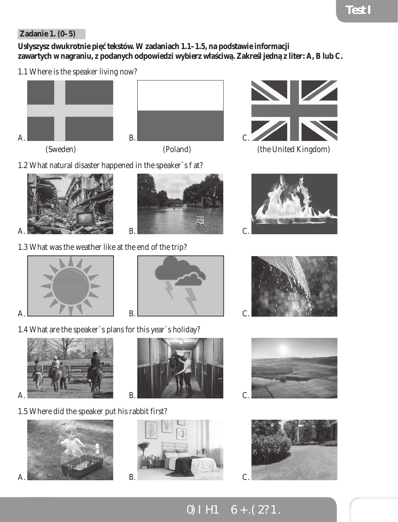#### **Zadanie 1. (0–5)**

Usłyszysz dwukrotnie pięcekstów. W zadaniach 1.1–1.5, na podstawie informacji zawartych w nagraniu, z podanych odpowiedzi wybierz wła ciw. Zakre l jedną z liter: A, B lub C.

1.1 Where is the speaker living now?







1.2 What natural disaster happened in the speaker`s  $at?$ 







1.3 What was the weather like at the end of the trip?



1.4 What are the speaker`s plans for this year`s holiday?



1.5 Where did the speaker put his rabbit first?









SPEED









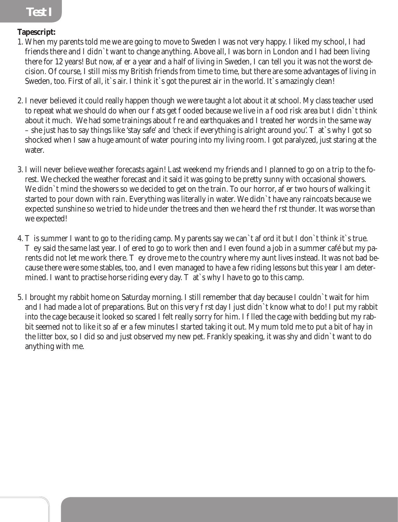### **Test I Test I**

#### **Tapescript:**

- 1. When my parents told me we are going to move to Sweden I was not very happy. I liked my school, I had friends there and I didn`t want to change anything. Above all, I was born in London and I had been living there for 12 years! But now, a er a year and a half of living in Sweden, I can tell you it was not the worst decision. Of course, I still miss my British friends from time to time, but there are some advantages of living in Sweden, too. First of all, it`s air. I think it`s got the purest air in the world. It`s amazingly clean!
- 2. I never believed it could really happen though we were taught a lot about it at school. My class teacher used to repeat what we should do when our ats get ooded because we live in a ood risk area but I didn`t think about it much. We had some trainings about re and earthquakes and I treated her words in the same way – she just has to say things like 'stay safe' and 'check if everything is alright around you'. That `s why I got so shocked when I saw a huge amount of water pouring into my living room. I got paralyzed, just staring at the water.
- 3. I will never believe weather forecasts again! Last weekend my friends and I planned to go on a trip to the forest. We checked the weather forecast and it said it was going to be pretty sunny with occasional showers. We didn't mind the showers so we decided to get on the train. To our horror, a er two hours of walking it started to pour down with rain. Everything was literally in water. We didn`t have any raincoats because we expected sunshine so we tried to hide under the trees and then we heard the rst thunder. It was worse than we expected!
- 4. is summer I want to go to the riding camp. My parents say we can't a ord it but I don't think it's true. ey said the same last year. I o fered to go to work then and I even found a job in a summer café but my parents did not let me work there. They drove me to the country where my aunt lives instead. It was not bad because there were some stables, too, and I even managed to have a few riding lessons but this year I am determined. I want to practise horse riding every day.  $\alpha$  at `s why I have to go to this camp.
- 5. I brought my rabbit home on Saturday morning. I still remember that day because I couldn`t wait for him and I had made a lot of preparations. But on this very rst day I just didn`t know what to do! I put my rabbit into the cage because it looked so scared I felt really sorry for him. I lled the cage with bedding but my rabbit seemed not to like it so a er a few minutes I started taking it out. My mum told me to put a bit of hay in the litter box, so I did so and just observed my new pet. Frankly speaking, it was shy and didn`t want to do anything with me.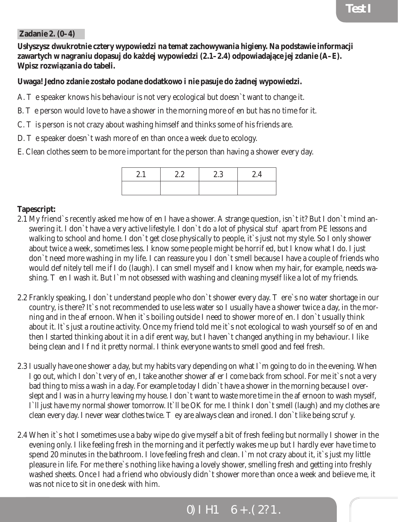#### **Zadanie 2. (0–4)**

**Usłyszysz dwukrotnie cztery wypowiedzi na temat zachowywania higieny. Na podstawie informacji**  zawartych w nagraniu dopasuj do ka dej wypowiedzi (2.1–2.4) odpowiadaj ce jej zdanie (A–E). **Wpisz rozwiązania do tabeli.**

#### **Uwaga! Jedno zdanie zostało podane dodatkowo i nie pasuje do żadnej wypowiedzi.**

- A. e speaker knows his behaviour is not very ecological but doesn't want to change it.
- B. e person would love to have a shower in the morning more  $o$  en but has no time for it.
- C. is person is not crazy about washing himself and thinks some of his friends are.
- D. e speaker doesn`t wash more o en than once a week due to ecology.
- E. Clean clothes seem to be more important for the person than having a shower every day.

| $\omega$ . 1 | 2.2 | 2.3 | 2.4 |
|--------------|-----|-----|-----|
|              |     |     |     |

#### **Tapescript:**

- 2.1 My friend`s recently asked me how o en I have a shower. A strange question, isn`t it? But I don`t mind answering it. I don't have a very active lifestyle. I don't do a lot of physical stu apart from PE lessons and walking to school and home. I don`t get close physically to people, it`s just not my style. So I only shower about twice a week, sometimes less. I know some people might be horried, but I know what I do. I just don`t need more washing in my life. I can reassure you I don`t smell because I have a couple of friends who would de nitely tell me if I do (laugh). I can smell myself and I know when my hair, for example, needs washing. en I wash it. But I`m not obsessed with washing and cleaning myself like a lot of my friends.
- 2.2 Frankly speaking, I don`t understand people who don`t shower every day. There`s no water shortage in our country, is there? It`s not recommended to use less water so I usually have a shower twice a day, in the morning and in the a ernoon. When it`s boiling outside I need to shower more of en. I don`t usually think about it. It`s just a routine activity. Once my friend told me it`s not ecological to wash yourself so oe n and then I started thinking about it in a dierent way, but I haven't changed anything in my behaviour. I like being clean and I nd it pretty normal. I think everyone wants to smell good and feel fresh.
- 2.3 I usually have one shower a day, but my habits vary depending on what I`m going to do in the evening. When I go out, which I don`t very offen, I take another shower after I come back from school. For me it`s not a very bad thing to miss a wash in a day. For example today I didn`t have a shower in the morning because I overslept and I was in a hurry leaving my house. I don`t want to waste more time in the a ernoon to wash myself, I`ll just have my normal shower tomorrow. It`ll be OK for me. I think I don`t smell (laugh) and my clothes are clean every day. I never wear clothes twice. ey are always clean and ironed. I don`t like being scru y.
- 2.4 When it`s hot I sometimes use a baby wipe do give myself a bit of fresh feeling but normally I shower in the evening only. I like feeling fresh in the morning and it perfectly wakes me up but I hardly ever have time to spend 20 minutes in the bathroom. I love feeling fresh and clean. I`m not crazy about it, it`s just my little pleasure in life. For me there`s nothing like having a lovely shower, smelling fresh and getting into freshly washed sheets. Once I had a friend who obviously didn`t shower more than once a week and believe me, it was not nice to sit in one desk with him.

### TESTY ÓSMOKLASISTY - J ZYK ANGIELSKI TESTY ÓSMOKLASISTY - J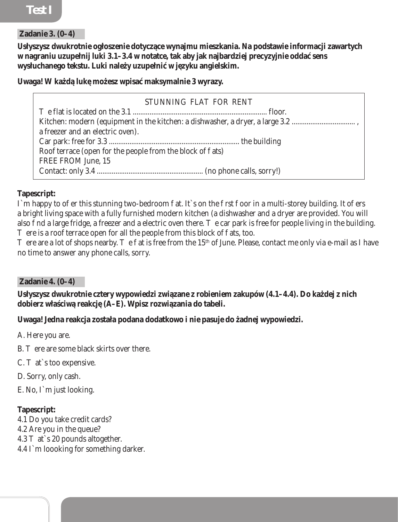#### **Zadanie 3. (0–4)**

**Usłyszysz dwukrotnie ogłoszenie dotyczące wynajmu mieszkania. Na podstawie informacji zawartych w nagraniu uzupełnij luki 3.1–3.4 w notatce, tak aby jak najbardziej precyzyjnie oddać sens**  wysłuchanego tekstu. Luki nale y uzupełni w j zyku angielskim.

#### Uwaga! W ka d luk mo esz wpisa maksymalnie 3 wyrazy.

| STUNNING FLAT FOR RENT                                                        |  |
|-------------------------------------------------------------------------------|--|
|                                                                               |  |
| Kitchen: modern (equipment in the kitchen: a dishwasher, a dryer, a large 3.2 |  |
| a freezer and an electric oven).                                              |  |
|                                                                               |  |
| Roof terrace (open for the people from the block of ats)                      |  |
| <b>FREE FROM June, 15</b>                                                     |  |
|                                                                               |  |

#### **Tapescript:**

I`m happy to oer this stunning two-bedroom at. It`s on the rst oor in a multi-storey building. It oers a bright living space with a fully furnished modern kitchen (a dishwasher and a dryer are provided. You will also nd a large fridge, a freezer and a electric oven there. e car park is free for people living in the building. ere is a roof terrace open for all the people from this block of ats, too.

ere are a lot of shops nearby. The flat is free from the 15<sup>th</sup> of June. Please, contact me only via e-mail as I have no time to answer any phone calls, sorry.

#### **Zadanie 4. (0–4)**

Usłyszysz dwukrotnie cztery wypowiedzi zwi zane z robieniem zakupów (4.1–4.4). Do ka dej z nich dobierz wła ciw reakcj (A–E). Wpisz rozwi zania do tabeli.

#### **Uwaga! Jedna reakcja została podana dodatkowo i nie pasuje do żadnej wypowiedzi.**

A. Here you are.

- B. ere are some black skirts over there.
- C. at`s too expensive.
- D. Sorry, only cash.
- E. No, I`m just looking.

#### **Tapescript:**

- 4.1 Do you take credit cards?
- 4.2 Are you in the queue?
- 4.3 at`s 20 pounds altogether.
- 4.4 I`m loooking for something darker.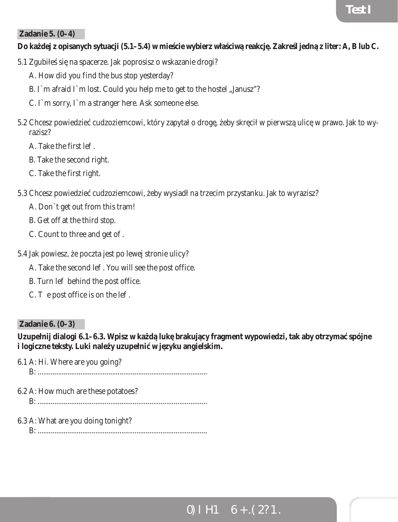#### **Zadanie 5. (0–4)**

#### Do ka dej z opisanych sytuacji (5.1–5.4) w mie cie wybierz wła ciw reakcj. Zakre l jedną z liter: A, B lub C.

- 5.1 Zgubiłe si na spacerze. Jak poprosisz o wskazanie drogi?
	- A. How did you find the bus stop yesterday?
	- B. I`m afraid I`m lost. Could you help me to get to the hostel "Janusz"?
	- C. I`m sorry, I`m a stranger here. Ask someone else.
- 5.2 Chcesz powiedzie cudzoziemcowi, który zapytał o drogę, eby skręcił w pierwszą ulicę w prawo. Jak to wyrazisz?
	- A. Take the first le.
	- B. Take the second right.
	- C. Take the first right.
- 5.3 Chcesz powiedzie cudzoziemcowi, eby wysiadł na trzecim przystanku. Jak to wyrazisz?
	- A. Don`t get out from this tram!
	- B. Get off at the third stop.
	- C. Count to three and get o.
- 5.4 Jak powiesz, e poczta jest po lewej stronie ulicy?
	- A. Take the second le. You will see the post office.
	- B. Turn le behind the post office.
	- C.  $\cdot$  e post office is on the le.

#### **Zadanie 6. (0–3)**

Uzupełnij dialogi 6.1–6.3. Wpisz w ka<sup>d</sup> luk brakuj cy fragment wypowiedzi, tak aby otrzyma spójne i logiczne teksty. Luki nale y uzupełni w jazyku angielskim.

6.1 A: Hi. Where are you going?

B: ...........................................................................................

- 6.2 A: How much are these potatoes?
	- B: ...........................................................................................
- 6.3 A: What are you doing tonight?

B: ...........................................................................................

# TESTY ÓSMOKLASISTY - J ZYK ANGIELSKI PESTY ÓSMOKLASISTY - J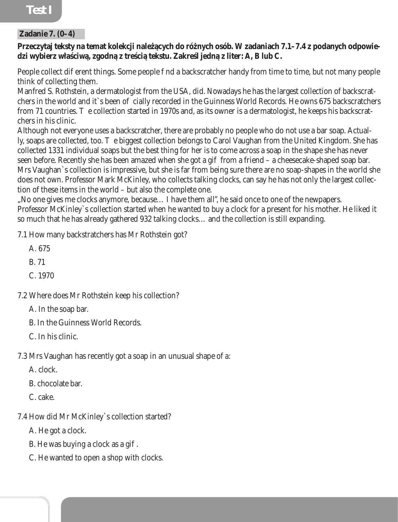# **Test I Test I**

#### **Zadanie 7. (0–4)**

#### Przeczytaj teksty na temat kolekcji nale cych do rónych osób. W zadaniach 7.1–7.4 z podanych odpowiedzi wybierz właściwą, zgodną z treścią tekstu. Zakreśl jedną z liter: A, B lub C.

People collect diefrent things. Some people ind a backscratcher handy from time to time, but not many people think of collecting them.

Manfred S. Rothstein, a dermatologist from the USA, did. Nowadays he has the largest collection of backscratchers in the world and it`s been o cially recorded in the Guinness World Records. He owns 675 backscratchers from 71 countries. e collection started in 1970s and, as its owner is a dermatologist, he keeps his backscratchers in his clinic.

Although not everyone uses a backscratcher, there are probably no people who do not use a bar soap. Actually, soaps are collected, too. e biggest collection belongs to Carol Vaughan from the United Kingdom. She has collected 1331 individual soaps but the best thing for her is to come across a soap in the shape she has never seen before. Recently she has been amazed when she got a gift from a friend – a cheesecake-shaped soap bar. Mrs Vaughan`s collection is impressive, but she is far from being sure there are no soap-shapes in the world she does not own. Professor Mark McKinley, who collects talking clocks, can say he has not only the largest collection of these items in the world – but also the complete one.

", No one gives me clocks anymore, because... I have them all", he said once to one of the newpapers. Professor McKinley`s collection started when he wanted to buy a clock for a present for his mother. He liked it so much that he has already gathered 932 talking clocks… and the collection is still expanding.

7.1 How many backstratchers has Mr Rothstein got?

A. 675 B. 71

C. 1970

7.2 Where does Mr Rothstein keep his collection?

A. In the soap bar.

B. In the Guinness World Records.

C. In his clinic.

7.3 Mrs Vaughan has recently got a soap in an unusual shape of a:

A. clock.

B. chocolate bar.

C. cake.

7.4 How did Mr McKinley`s collection started?

A. He got a clock.

B. He was buying a clock as a gi  $\cdot$ 

C. He wanted to open a shop with clocks.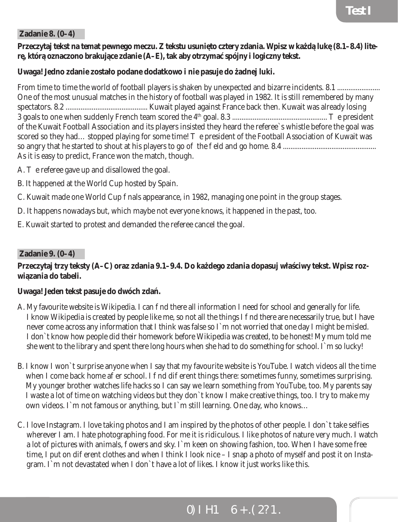#### **Zadanie 8. (0–4)**

#### Przeczytaj tekst na temat pewnego meczu. Z tekstu usuni to cztery zdania. Wpisz w ka<sup>d</sup>luk (8.1–8.4) lite**rę, którą oznaczono brakujące zdanie (A–E), tak aby otrzymać spójny i logiczny tekst.**

#### **Uwaga! Jedno zdanie zostało podane dodatkowo i nie pasuje do żadnej luki.**

From time to time the world of football players is shaken by unexpected and bizarre incidents. 8.1 ....................... One of the most unusual matches in the history of football was played in 1982. It is still remembered by many spectators. 8.2 ............................................ Kuwait played against France back then. Kuwait was already losing 3 goals to one when suddenly French team scored the 4th goal. 8.3 ................................................... The president of the Kuwait Football Association and its players insisted they heard the referee`s whistle before the goal was scored so they had... stopped playing for some time! e president of the Football Association of Kuwait was so angry that he started to shout at his players to go off the field and go home. 8.4 .................................................. As it is easy to predict, France won the match, though.

- A. e referee gave up and disallowed the goal.
- B. It happened at the World Cup hosted by Spain.
- C. Kuwait made one [World Cup](https://en.wikipedia.org/wiki/Football_World_Cup) nals appearance, in [1982,](https://en.wikipedia.org/wiki/1982_FIFA_World_Cup) managing one point in the group stages.
- D. It happens nowadays but, which maybe not everyone knows, it happened in the past, too.
- E. Kuwait started to protest and demanded the referee cancel the goal.

#### **Zadanie 9. (0–4)**

#### Przeczytaj trzy teksty (A–C) oraz zdania 9.1–9.4. Do ka dego zdania dopasuj wła ciwy tekst. Wpisz roz**wiązania do tabeli.**

#### **Uwaga! Jeden tekst pasuje do dwóch zdań.**

- A. My favourite website is Wikipedia. I can nd there all information I need for school and generally for life. I know Wikipedia is created by people like me, so not all the things I nd there are necessarily true, but I have never come across any information that I think was false so I`m not worried that one day I might be misled. I don`t know how people did their homework before Wikipedia was created, to be honest! My mum told me she went to the library and spent there long hours when she had to do something for school. I`m so lucky!
- B. I know I won`t surprise anyone when I say that my favourite website is YouTube. I watch videos all the time when I come back home a  $er$  school. I  $\dot{a}$  find different things there: sometimes funny, sometimes surprising. My younger brother watches life hacks so I can say we learn something from YouTube, too. My parents say I waste a lot of time on watching videos but they don`t know I make creative things, too. I try to make my own videos. I`m not famous or anything, but I`m still learning. One day, who knows…
- C. I love Instagram. I love taking photos and I am inspired by the photos of other people. I don`t take selfies wherever I am. I hate photographing food. For me it is ridiculous. I like photos of nature very much. I watch a lot of pictures with animals, owers and sky. I`m keen on showing fashion, too. When I have some free time, I put on dieterat clothes and when I think I look nice  $-1$  snap a photo of myself and post it on Instagram. I`m not devastated when I don`t have a lot of likes. I know it just works like this.

### TESTY ÓSMOKLASISTY - J**ZYK ANGIELSKI 11** 11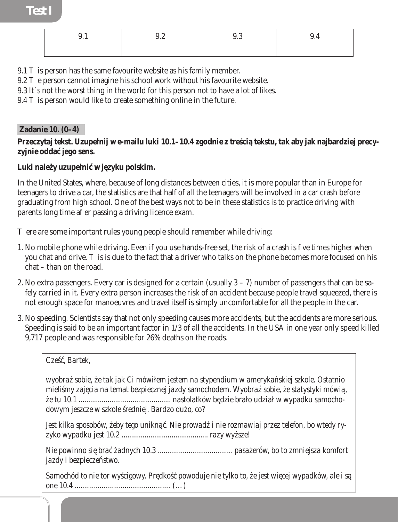| ∪.⊥ | $\epsilon$<br>ч<br>ນ.∠ |  |
|-----|------------------------|--|
|     |                        |  |

- 9.1 is person has the same favourite website as his family member.
- 9.2 e person cannot imagine his school work without his favourite website.
- 9.3 It`s not the worst thing in the world for this person not to have a lot of likes.
- 9.4 is person would like to create something online in the future.

#### **Zadanie 10. (0–4)**

Przeczytaj tekst. Uzupełnij w e-mailu luki 10.1–10.4 zgodnie z tre ci tekstu, tak aby jak najbardziej precyzvinie odda jego sens.

#### Luki nale y uzupełni w j*zyku polskim.*

*Cześć, Bartek,* 

In the United States, where, because of long distances between cities, it is more popular than in Europe for teenagers to drive a car, the statistics are that half of all the teenagers will be involved in a car crash before graduating from high school. One of the best ways not to be in these statistics is to practice driving with parents long time a er passing a driving licence exam.

ere are some important rules young people should remember while driving:

- 1. No mobile phone while driving. Even if you use hands-free set, the risk of a crash is ve times higher when you chat and drive. is is due to the fact that a driver who talks on the phone becomes more focused on his chat – than on the road.
- 2. No extra passengers. Every car is designed for a certain (usually 3 7) number of passengers that can be safely carried in it. Every extra person increases the risk of an accident because people travel squeezed, there is not enough space for manoeuvres and travel itself is simply uncomfortable for all the people in the car.
- 3. No speeding. Scientists say that not only speeding causes more accidents, but the accidents are more serious. Speeding is said to be an important factor in 1/3 of all the accidents. In the USA in one year only speed killed 9,717 people and was responsible for 26% deaths on the roads.

*wyobra sobie, e tak jak Ci mówiłem jestem na stypendium w ameryka skiej szkole. Ostatnio mieli my zaj cia na temat bezpiecznej jazdy samochodem. Wyobra sobie, e statystyki mówi*, *że tu 10.1 ................................................ nastolatków będzie brało udział w wypadku samocho*dowym jeszcze w szkole redniej. Bardzo du o, co?

Jest kilka sposobów, eby tego unikn<sub>z</sub>. Nie prowad *i nie rozmawiaj przez telefon, bo wtedy ryzyko wypadku jest 10.2 ............................................. razy wyższe!* 

*Nie powinno się brać żadnych 10.3 ....................................... pasażerów, bo to zmniejsza komfort jazdy i bezpiecze stwo.* 

Samochód to nie tor wy cigowy. Pr dko powoduje nie tylko to, e jest wi cej wypadków, ale i s *one 10.4 ..................................................* (…)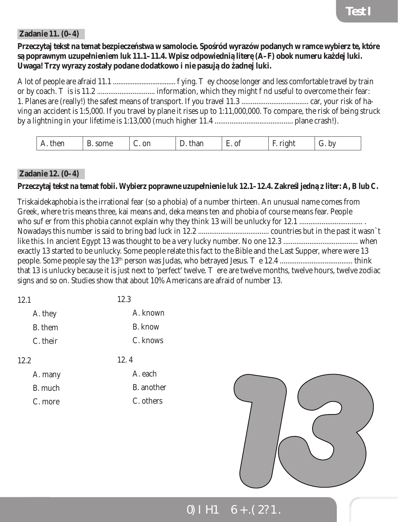#### **Zadanie 11. (0–4)**

Przeczytaj tekst na temat bezpiecze stwa w samolocie. Spo ród wyrazów podanych w ramce wybierz te, które s poprawnym uzupełnieniem luk 11.1–11.4. Wpisz odpowiedni liter (A–F) obok numeru ka<sup>d</sup> dej luki. **Uwaga! Trzy wyrazy zostały podane dodatkowo i nie pasują do żadnej luki.**

A lot of people are afraid 11.1 ................................... flying. They choose longer and less comfortable travel by train or by coach. This is 11.2 ............................... information, which they might find useful to overcome their fear: 1. Planes are (really!) the safest means of transport. If you travel 11.3 .................................... car, your risk of having an accident is 1:5,000. If you travel by plane it rises up to 1:11,000,000. To compare, the risk of being struck by a lightning in your lifetime is 1:13,000 (much higher 11.4 .......................................... plane crash!).

| Ωr<br>ı ıt |  | $\mathbf{0}$<br>$\overline{\phantom{0}}$<br>$\sim$ |  | . . |  |
|------------|--|----------------------------------------------------|--|-----|--|
|------------|--|----------------------------------------------------|--|-----|--|

#### **Zadanie 12. (0–4)**

C. more

#### Przeczytaj tekst na temat fobii. Wybierz poprawne uzupełnienie luk 12.1–12.4. Zakre ljedn z liter: A, B lub C.

Triskaidekaphobia is the irrational fear (so a phobia) of a number thirteen. An unusual name comes from Greek, where tris means three, kai means and, deka means ten and phobia of course means fear. People who suffer from this phobia cannot explain why they think 13 will be unlucky for 12.1 .................................. . Nowadays this number is said to bring bad luck in 12.2 ...................................... countries but in the past it wasn`t like this. In ancient Egypt 13 was thought to be a very lucky number. No one 12.3 ........................................ when exactly 13 started to be unlucky. Some people relate this fact to the Bible and the Last Supper, where were 13 people. Some people say the 13th person was Judas, who betrayed Jesus. The 12.4 ....................................... think that 13 is unlucky because it is just next to 'perfect' twelve. ere are twelve months, twelve hours, twelve zodiac signs and so on. Studies show that about 10% Americans are afraid of number 13.

| 12.1     | 12.3           |
|----------|----------------|
| A. they  | A. known       |
| B. them  | <b>B.</b> know |
| C. their | C. knows       |
| 12.2     | 12.4           |
| A. many  | A. each        |
| B. much  | B. another     |



### TESTY ÓSMOKLASISTY - J ZYK ANGIELSKI TESTY ÓSMOKLASISTY - J

C. others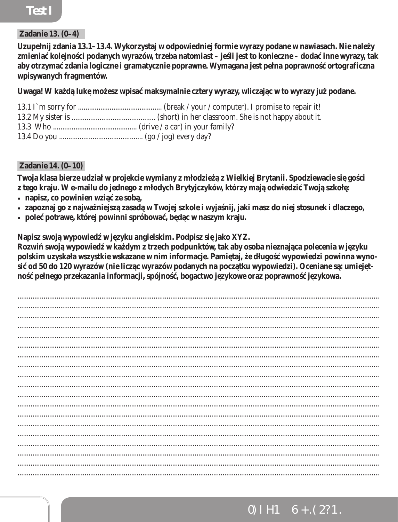### **Test I**

#### **Zadanie 13. (0-4)**

Uzupełnij zdania 13.1–13.4. Wykorzystaj w odpowiedniej formie wyrazy podane w nawiasach. Nie nale y zmienia kolejno ci podanych wyrazów, trzeba natomiast – je li jest to konieczne – doda inne wyrazy, tak aby otrzyma zdania logiczne i gramatycznie poprawne. Wymagana jest pełna poprawno ortograficzna wpisywanych fragmentów.

Uwaga! W ka d luk mo esz wpisa maksymalnie cztery wyrazy, wliczaj c w to wyrazy ju podane.

#### **Zadanie 14. (0-10)**

Twoja klasa bierze udział w projekcie wymiany z młodzie z Wielkiej Brytanii. Spodziewacie si go ci z tego kraju. W e-mailu do jednego z młodych Brytyjczyków, którzy maj odwiedzi Twoj szkoł:

- · napisz, co powinien wzi ze sob,
- · zapoznaj go z najwa niejsz zasad w Twojej szkole i wyja nij, jaki masz do niej stosunek i dlaczego,
- · pole potraw, której powinni spróbowa, b d c w naszym kraju.

Napisz swoj wypowied w j zyku angielskim. Podpisz si jako XYZ.

Rozwi swoj wypowied w ka dym z trzech podpunktów, tak aby osoba nieznaj ca polecenia w j zyku polskim uzyskała wszystkie wskazane w nim informacje. Pami taj, e długo wypowiedzi powinna wynosi od 50 do 120 wyrazów (nie licz c wyrazów podanych na pocz tku wypowiedzi). Oceniane s : umiej tpełnego przekazania informacji, spójno "bogactwo j zykowe oraz poprawno" *i* zykowa. no

 $\mathcal{L}(\mathcal{L}(\mathcal{L}(\mathcal{L}(\mathcal{L}(\mathcal{L}(\mathcal{L}(\mathcal{L}(\mathcal{L}(\mathcal{L}(\mathcal{L}(\mathcal{L}(\mathcal{L}(\mathcal{L}(\mathcal{L}(\mathcal{L}(\mathcal{L}(\mathcal{L}(\mathcal{L}(\mathcal{L}(\mathcal{L}(\mathcal{L}(\mathcal{L}(\mathcal{L}(\mathcal{L}(\mathcal{L}(\mathcal{L}(\mathcal{L}(\mathcal{L}(\mathcal{L}(\mathcal{L}(\mathcal{L}(\mathcal{L}(\mathcal{L}(\mathcal{L}(\mathcal{L}(\mathcal{$ 

# TESTY ÓSMOKLASISTY - J ZYK ANGIELSKI